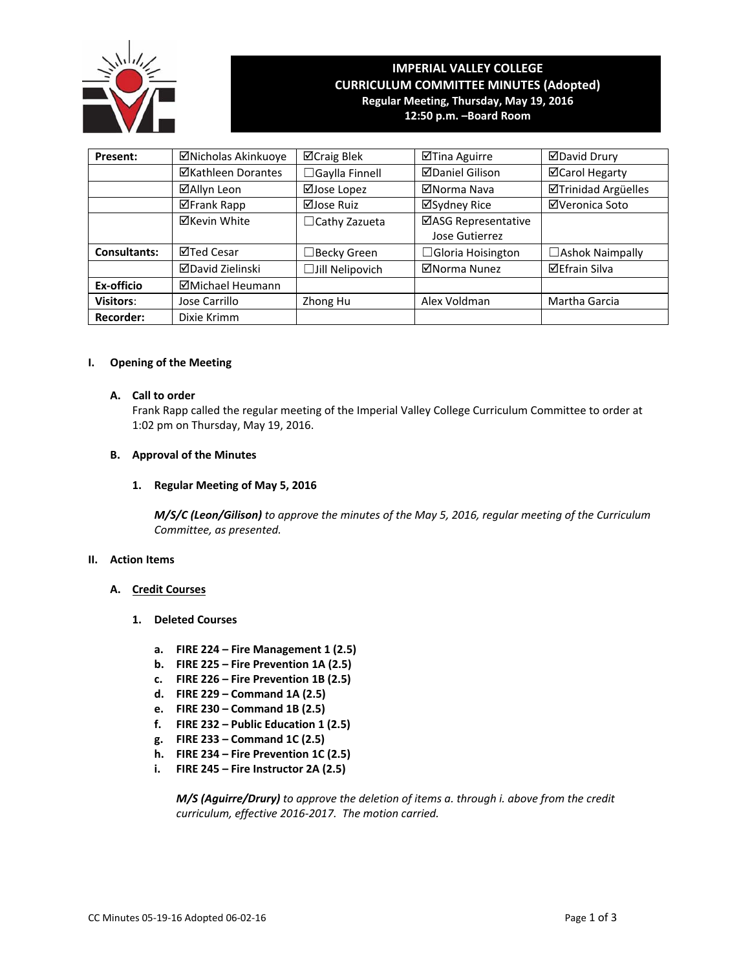

# **IMPERIAL VALLEY COLLEGE CURRICULUM COMMITTEE MINUTES (Adopted) Regular Meeting, Thursday, May 19, 2016 12:50 p.m. –Board Room**

**Present:** │ ⊠Nicholas Akinkuoye │ ⊠Craig Blek │ ⊠Tina Aguirre │ ⊠David Drury **ØKathleen Dorantes │ □Gaylla Finnell │ ØDaniel Gilison │ ØCarol Hegarty ØAllyn Leon** | ØJose Lopez | ØNorma Nava | ØTrinidad Argüelles **ØFrank Rapp | ØJose Ruiz | ØSydney Rice | ØVeronica Soto**  $\Xi$ Kevin White  $\Box$ Cathy Zazueta  $\Box$ ASG Representative Jose Gutierrez **Consultants:**  $\Box$  Ted Cesar │  $\Box$  Becky Green │  $\Box$  Gloria Hoisington │  $\Box$  Ashok Naimpally **ØDavid Zielinski** │ □Jill Nelipovich │ ØNorma Nunez │ ØEfrain Silva **Ex-officio Michael Heumann Visitors**: Jose Carrillo | Zhong Hu | Alex Voldman | Martha Garcia **Recorder:** Dixie Krimm

# **I. Opening of the Meeting**

#### **A. Call to order**

Frank Rapp called the regular meeting of the Imperial Valley College Curriculum Committee to order at 1:02 pm on Thursday, May 19, 2016.

### **B. Approval of the Minutes**

# **1. Regular Meeting of May 5, 2016**

*M/S/C (Leon/Gilison) to approve the minutes of the May 5, 2016, regular meeting of the Curriculum Committee, as presented.* 

# **II. Action Items**

# **A. Credit Courses**

- **1. Deleted Courses**
	- **a. FIRE 224 – Fire Management 1 (2.5)**
	- **b. FIRE 225 – Fire Prevention 1A (2.5)**
	- **c. FIRE 226 – Fire Prevention 1B (2.5)**
	- **d. FIRE 229 – Command 1A (2.5)**
	- **e. FIRE 230 – Command 1B (2.5)**
	- **f. FIRE 232 – Public Education 1 (2.5)**
	- **g. FIRE 233 – Command 1C (2.5)**
	- **h. FIRE 234 – Fire Prevention 1C (2.5)**
	- **i. FIRE 245 – Fire Instructor 2A (2.5)**

*M/S (Aguirre/Drury) to approve the deletion of items a. through i. above from the credit curriculum, effective 2016‐2017. The motion carried.*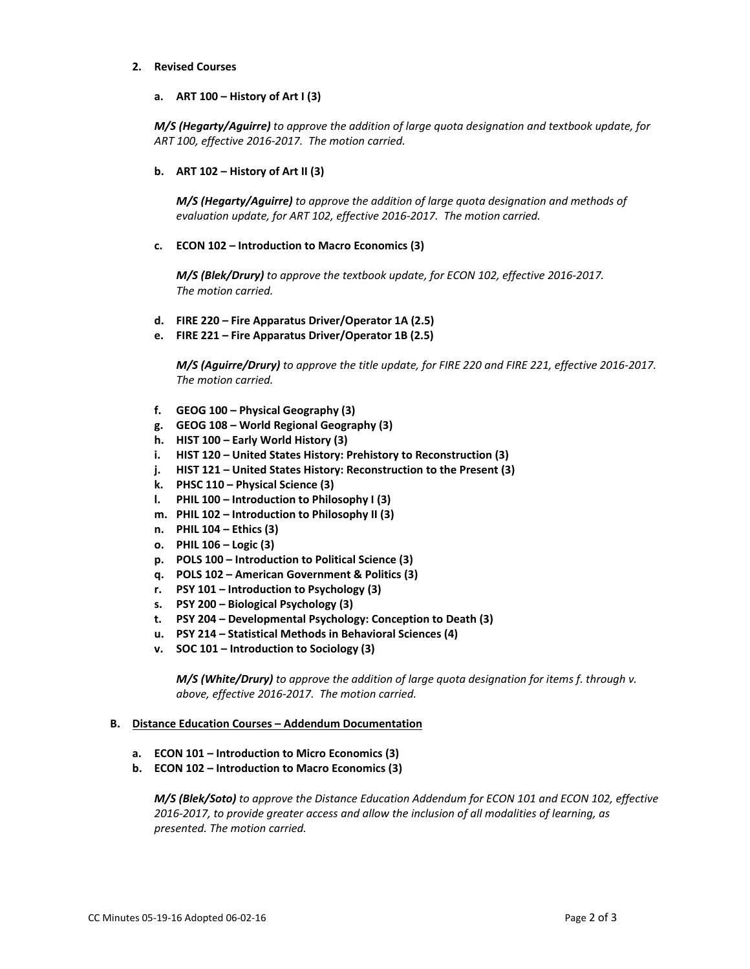#### **2. Revised Courses**

**a. ART 100 – History of Art I (3)**

*M/S (Hegarty/Aguirre) to approve the addition of large quota designation and textbook update, for ART 100, effective 2016‐2017. The motion carried.*

**b. ART 102 – History of Art II (3)**

 *M/S (Hegarty/Aguirre) to approve the addition of large quota designation and methods of evaluation update, for ART 102, effective 2016‐2017. The motion carried.*

**c. ECON 102 – Introduction to Macro Economics (3)**

 *M/S (Blek/Drury) to approve the textbook update, for ECON 102, effective 2016‐2017. The motion carried.*

- **d. FIRE 220 – Fire Apparatus Driver/Operator 1A (2.5)**
- **e. FIRE 221 – Fire Apparatus Driver/Operator 1B (2.5)**

M/S (Aquirre/Drury) to approve the title update, for FIRE 220 and FIRE 221, effective 2016-2017.  *The motion carried.*

- **f. GEOG 100 – Physical Geography (3)**
- **g. GEOG 108 – World Regional Geography (3)**
- **h. HIST 100 – Early World History (3)**
- **i. HIST 120 – United States History: Prehistory to Reconstruction (3)**
- **j. HIST 121 – United States History: Reconstruction to the Present (3)**
- **k. PHSC 110 – Physical Science (3)**
- **l. PHIL 100 – Introduction to Philosophy I (3)**
- **m. PHIL 102 – Introduction to Philosophy II (3)**
- **n. PHIL 104 – Ethics (3)**
- **o. PHIL 106 – Logic (3)**
- **p. POLS 100 – Introduction to Political Science (3)**
- **q. POLS 102 – American Government & Politics (3)**
- **r. PSY 101 – Introduction to Psychology (3)**
- **s. PSY 200 – Biological Psychology (3)**
- **t. PSY 204 – Developmental Psychology: Conception to Death (3)**
- **u. PSY 214 – Statistical Methods in Behavioral Sciences (4)**
- **v. SOC 101 – Introduction to Sociology (3)**

 *M/S (White/Drury) to approve the addition of large quota designation for items f. through v. above, effective 2016‐2017. The motion carried.*

#### **B. Distance Education Courses – Addendum Documentation**

- **a. ECON 101 – Introduction to Micro Economics (3)**
- **b. ECON 102 – Introduction to Macro Economics (3)**

*M/S (Blek/Soto) to approve the Distance Education Addendum for ECON 101 and ECON 102, effective 2016‐2017, to provide greater access and allow the inclusion of all modalities of learning, as presented. The motion carried.*